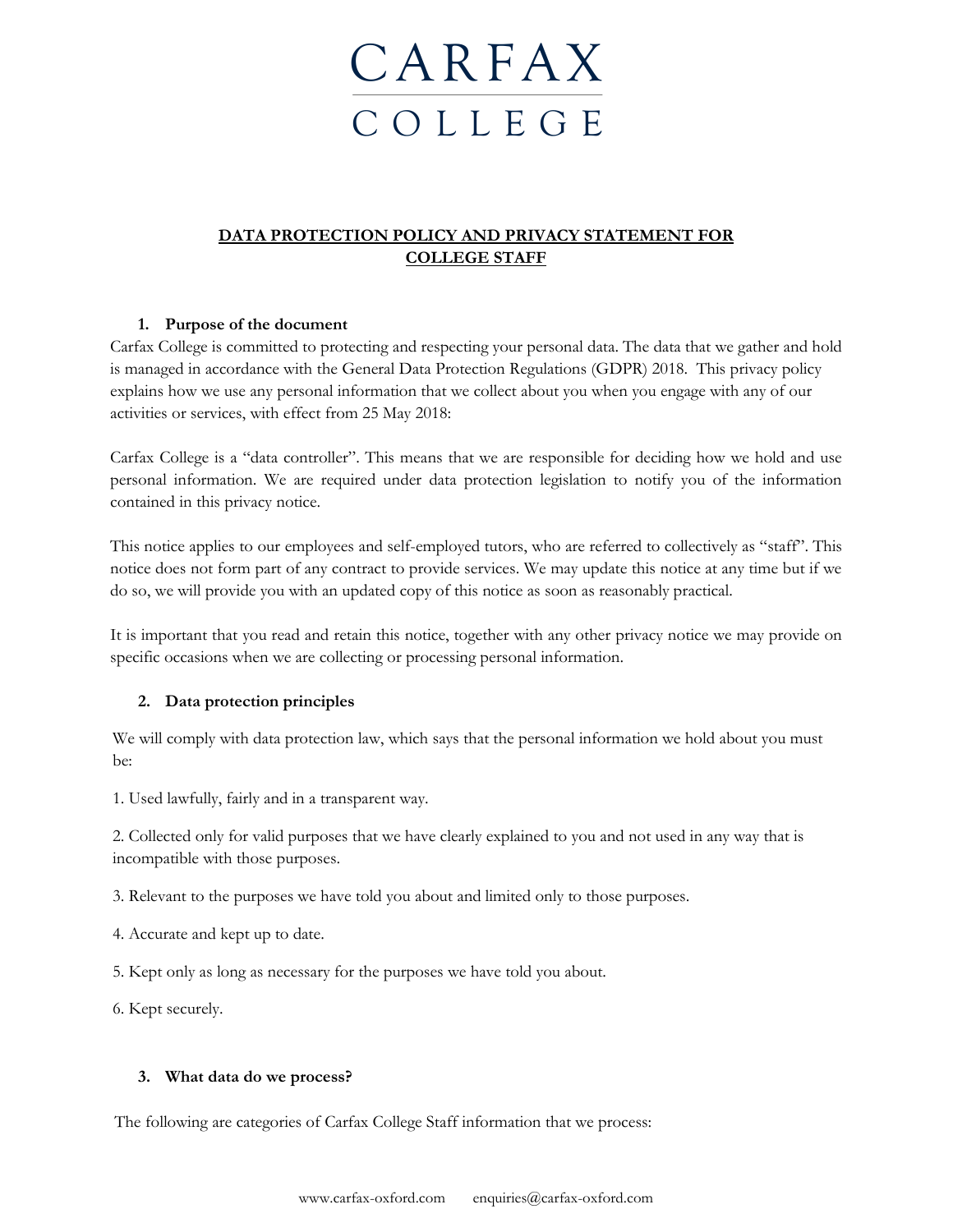# CARFAX C O L L E G E

# **DATA PROTECTION POLICY AND PRIVACY STATEMENT FOR COLLEGE STAFF**

### **1. Purpose of the document**

Carfax College is committed to protecting and respecting your personal data. The data that we gather and hold is managed in accordance with the General Data Protection Regulations (GDPR) 2018. This privacy policy explains how we use any personal information that we collect about you when you engage with any of our activities or services, with effect from 25 May 2018:

Carfax College is a "data controller". This means that we are responsible for deciding how we hold and use personal information. We are required under data protection legislation to notify you of the information contained in this privacy notice.

This notice applies to our employees and self-employed tutors, who are referred to collectively as "staff". This notice does not form part of any contract to provide services. We may update this notice at any time but if we do so, we will provide you with an updated copy of this notice as soon as reasonably practical.

It is important that you read and retain this notice, together with any other privacy notice we may provide on specific occasions when we are collecting or processing personal information.

## **2. Data protection principles**

We will comply with data protection law, which says that the personal information we hold about you must be:

1. Used lawfully, fairly and in a transparent way.

2. Collected only for valid purposes that we have clearly explained to you and not used in any way that is incompatible with those purposes.

3. Relevant to the purposes we have told you about and limited only to those purposes.

4. Accurate and kept up to date.

5. Kept only as long as necessary for the purposes we have told you about.

6. Kept securely.

#### **3. What data do we process?**

The following are categories of Carfax College Staff information that we process: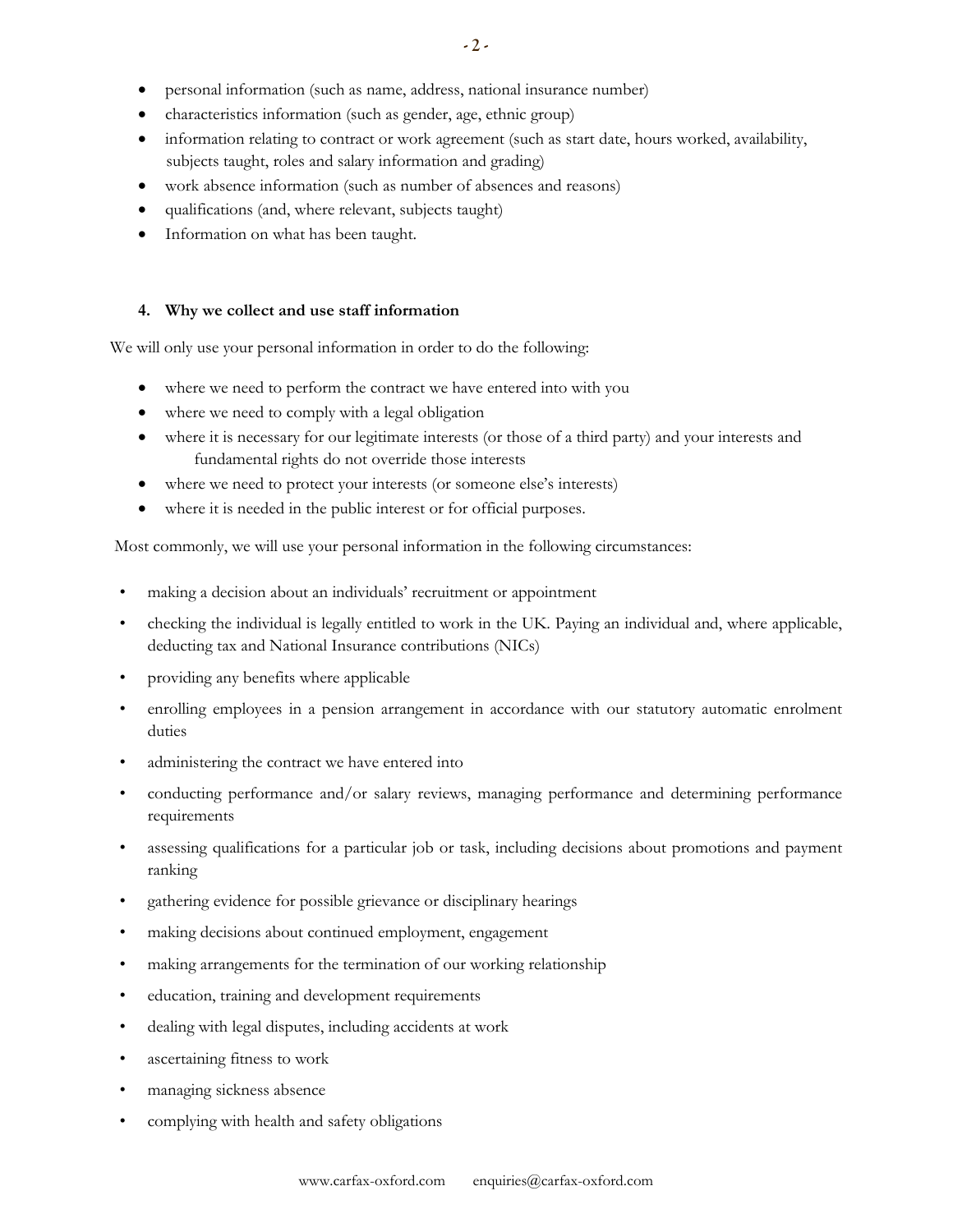- personal information (such as name, address, national insurance number)
- characteristics information (such as gender, age, ethnic group)
- information relating to contract or work agreement (such as start date, hours worked, availability, subjects taught, roles and salary information and grading)
- work absence information (such as number of absences and reasons)
- qualifications (and, where relevant, subjects taught)
- Information on what has been taught.

#### **4. Why we collect and use staff information**

We will only use your personal information in order to do the following:

- where we need to perform the contract we have entered into with you
- where we need to comply with a legal obligation
- where it is necessary for our legitimate interests (or those of a third party) and your interests and fundamental rights do not override those interests
- where we need to protect your interests (or someone else's interests)
- where it is needed in the public interest or for official purposes.

Most commonly, we will use your personal information in the following circumstances:

- making a decision about an individuals' recruitment or appointment
- checking the individual is legally entitled to work in the UK. Paying an individual and, where applicable, deducting tax and National Insurance contributions (NICs)
- providing any benefits where applicable
- enrolling employees in a pension arrangement in accordance with our statutory automatic enrolment duties
- administering the contract we have entered into
- conducting performance and/or salary reviews, managing performance and determining performance requirements
- assessing qualifications for a particular job or task, including decisions about promotions and payment ranking
- gathering evidence for possible grievance or disciplinary hearings
- making decisions about continued employment, engagement
- making arrangements for the termination of our working relationship
- education, training and development requirements
- dealing with legal disputes, including accidents at work
- ascertaining fitness to work
- managing sickness absence
- complying with health and safety obligations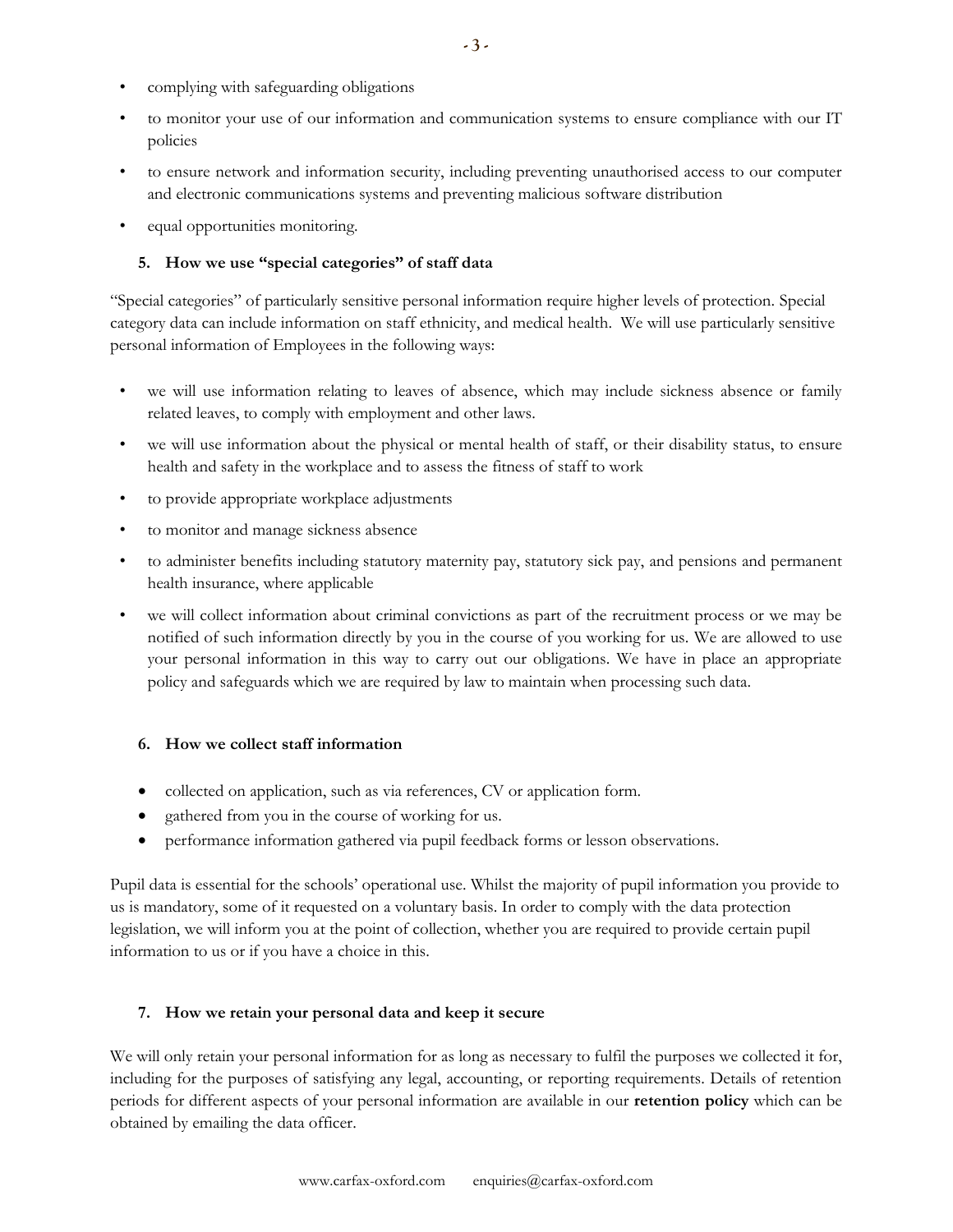- complying with safeguarding obligations
- to monitor your use of our information and communication systems to ensure compliance with our IT policies
- to ensure network and information security, including preventing unauthorised access to our computer and electronic communications systems and preventing malicious software distribution
- equal opportunities monitoring.

#### **5. How we use "special categories" of staff data**

"Special categories" of particularly sensitive personal information require higher levels of protection. Special category data can include information on staff ethnicity, and medical health. We will use particularly sensitive personal information of Employees in the following ways:

- we will use information relating to leaves of absence, which may include sickness absence or family related leaves, to comply with employment and other laws.
- we will use information about the physical or mental health of staff, or their disability status, to ensure health and safety in the workplace and to assess the fitness of staff to work
- to provide appropriate workplace adjustments
- to monitor and manage sickness absence
- to administer benefits including statutory maternity pay, statutory sick pay, and pensions and permanent health insurance, where applicable
- we will collect information about criminal convictions as part of the recruitment process or we may be notified of such information directly by you in the course of you working for us. We are allowed to use your personal information in this way to carry out our obligations. We have in place an appropriate policy and safeguards which we are required by law to maintain when processing such data.

#### **6. How we collect staff information**

- collected on application, such as via references, CV or application form.
- gathered from you in the course of working for us.
- performance information gathered via pupil feedback forms or lesson observations.

Pupil data is essential for the schools' operational use. Whilst the majority of pupil information you provide to us is mandatory, some of it requested on a voluntary basis. In order to comply with the data protection legislation, we will inform you at the point of collection, whether you are required to provide certain pupil information to us or if you have a choice in this.

#### **7. How we retain your personal data and keep it secure**

We will only retain your personal information for as long as necessary to fulfil the purposes we collected it for, including for the purposes of satisfying any legal, accounting, or reporting requirements. Details of retention periods for different aspects of your personal information are available in our **retention policy** which can be obtained by emailing the data officer.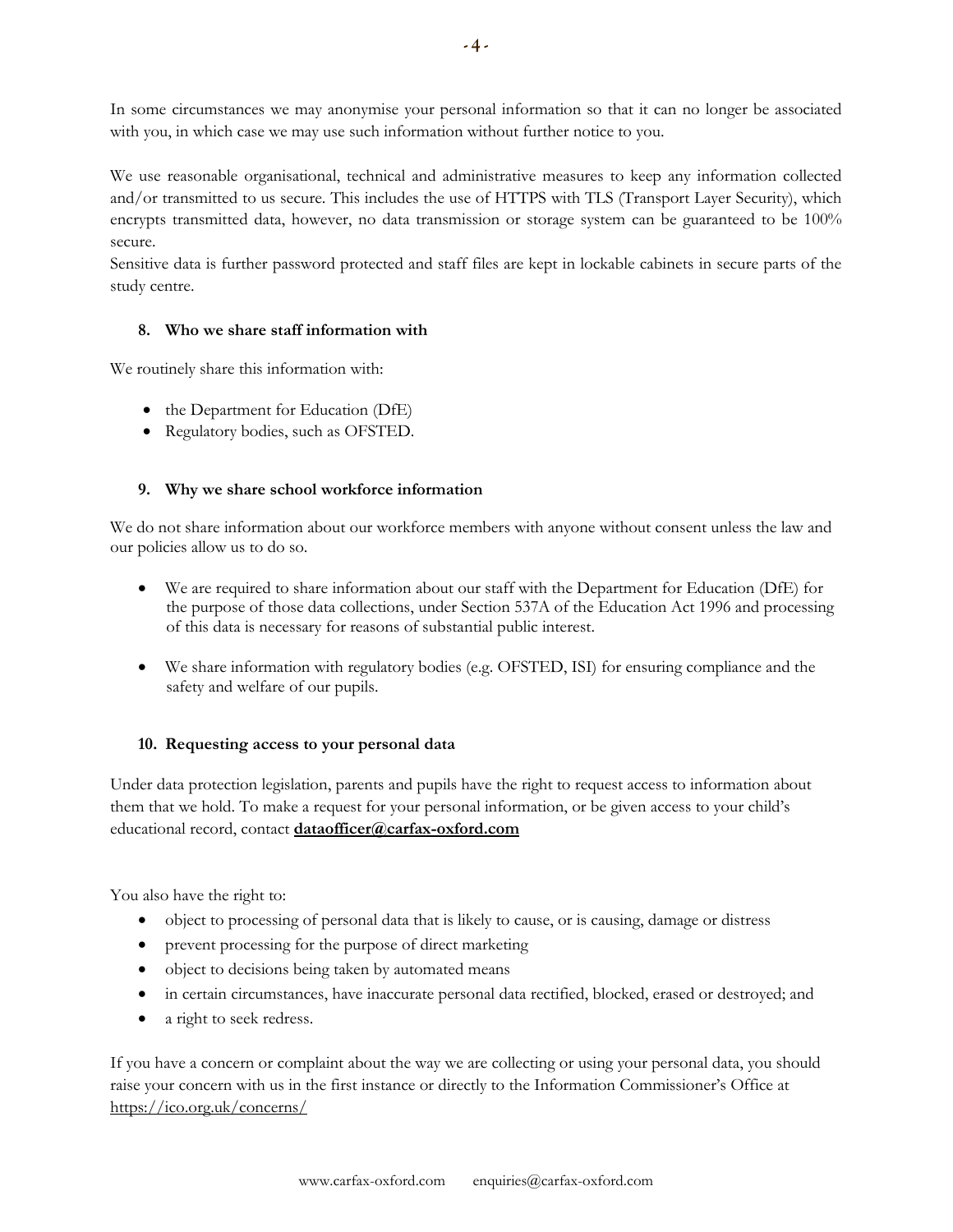In some circumstances we may anonymise your personal information so that it can no longer be associated with you, in which case we may use such information without further notice to you.

We use reasonable organisational, technical and administrative measures to keep any information collected and/or transmitted to us secure. This includes the use of HTTPS with TLS (Transport Layer Security), which encrypts transmitted data, however, no data transmission or storage system can be guaranteed to be 100% secure.

Sensitive data is further password protected and staff files are kept in lockable cabinets in secure parts of the study centre.

#### **8. Who we share staff information with**

We routinely share this information with:

- the Department for Education (DfE)
- Regulatory bodies, such as OFSTED.

#### **9. Why we share school workforce information**

We do not share information about our workforce members with anyone without consent unless the law and our policies allow us to do so.

- We are required to share information about our staff with the Department for Education (DfE) for the purpose of those data collections, under Section 537A of the Education Act 1996 and processing of this data is necessary for reasons of substantial public interest.
- We share information with regulatory bodies (e.g. OFSTED, ISI) for ensuring compliance and the safety and welfare of our pupils.

#### **10. Requesting access to your personal data**

Under data protection legislation, parents and pupils have the right to request access to information about them that we hold. To make a request for your personal information, or be given access to your child's educational record, contact **[dataofficer@carfax-oxford.com](mailto:dataofficer@carfax-oxford.com)**

You also have the right to:

- object to processing of personal data that is likely to cause, or is causing, damage or distress
- prevent processing for the purpose of direct marketing
- object to decisions being taken by automated means
- in certain circumstances, have inaccurate personal data rectified, blocked, erased or destroyed; and
- a right to seek redress.

If you have a concern or complaint about the way we are collecting or using your personal data, you should raise your concern with us in the first instance or directly to the Information Commissioner's Office at <https://ico.org.uk/concerns/>